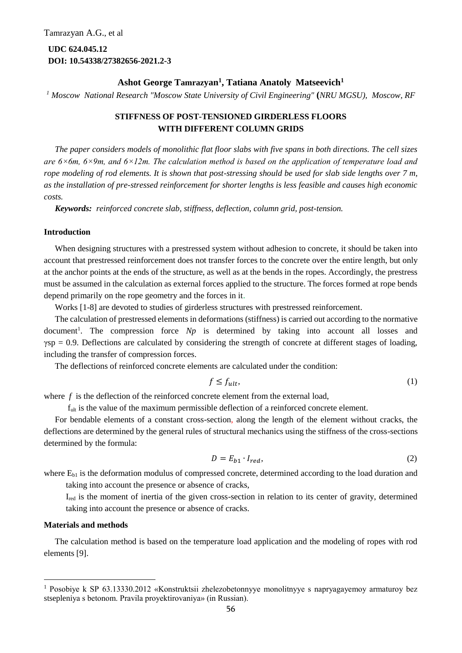**UDC 624.045.12 DOI: 10.54338/27382656-2021.2-3**

# **Ashot George Tamrazyan<sup>1</sup> , Tatiana Anatoly Matseevich<sup>1</sup>**

*<sup>1</sup> Moscow National Research "Moscow State University of Civil Engineering"* **(***NRU MGSU), Moscow, RF*

# **STIFFNESS OF POST-TENSIONED GIRDERLESS FLOORS WITH DIFFERENT COLUMN GRIDS**

*The paper considers models of monolithic flat floor slabs with five spans in both directions. The cell sizes are 6×6m, 6×9m, and 6×12m. The calculation method is based on the application of temperature load and rope modeling of rod elements. It is shown that post-stressing should be used for slab side lengths over 7 m, as the installation of pre-stressed reinforcement for shorter lengths is less feasible and causes high economic costs.*

*Keywords: reinforced concrete slab, stiffness, deflection, column grid, post-tension.*

### **Introduction**

When designing structures with a prestressed system without adhesion to concrete, it should be taken into account that prestressed reinforcement does not transfer forces to the concrete over the entire length, but only at the anchor points at the ends of the structure, as well as at the bends in the ropes. Accordingly, the prestress must be assumed in the calculation as external forces applied to the structure. The forces formed at rope bends depend primarily on the rope geometry and the forces in it.

Works [1-8] are devoted to studies of girderless structures with prestressed reinforcement.

The calculation of prestressed elements in deformations (stiffness) is carried out according to the normative document<sup>1</sup>. The compression force *Np* is determined by taking into account all losses and  $\gamma sp = 0.9$ . Deflections are calculated by considering the strength of concrete at different stages of loading, including the transfer of compression forces.

The deflections of reinforced concrete elements are calculated under the condition:

$$
f \le f_{ult},\tag{1}
$$

where f is the deflection of the reinforced concrete element from the external load,

f<sub>ult</sub> is the value of the maximum permissible deflection of a reinforced concrete element.

For bendable elements of a constant cross-section, along the length of the element without cracks, the deflections are determined by the general rules of structural mechanics using the stiffness of the cross-sections determined by the formula:

$$
D = E_{b1} \cdot I_{red},\tag{2}
$$

where  $E_{b1}$  is the deformation modulus of compressed concrete, determined according to the load duration and taking into account the presence or absence of cracks,

Ired is the moment of inertia of the given cross-section in relation to its center of gravity, determined taking into account the presence or absence of cracks.

### **Materials and methods**

**.** 

The calculation method is based on the temperature load application and the modeling of ropes with rod elements [9].

<sup>&</sup>lt;sup>1</sup> Posobiye k SP 63.13330.2012 «Konstruktsii zhelezobetonnyye monolitnyye s napryagayemoy armaturoy bez stsepleniya s betonom. Pravila proyektirovaniya» (in Russian).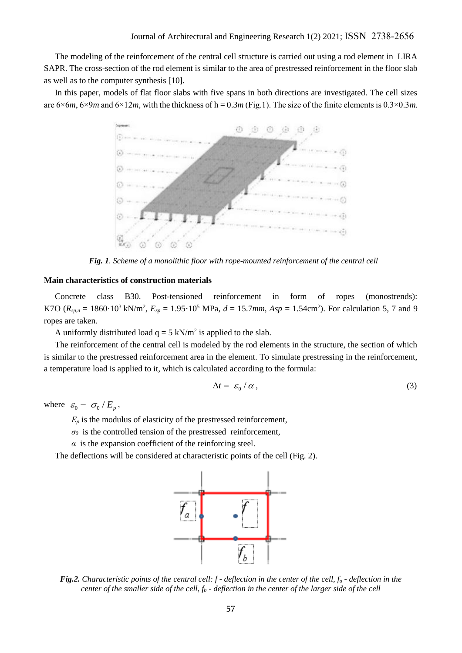The modeling of the reinforcement of the central cell structure is carried out using a rod element in LIRA SAPR. The cross-section of the rod element is similar to the area of prestressed reinforcement in the floor slab as well as to the computer synthesis [10].

In this paper, models of flat floor slabs with five spans in both directions are investigated. The cell sizes are  $6 \times 6m$ ,  $6 \times 9m$  and  $6 \times 12m$ , with the thickness of h = 0.3*m* (Fig.1). The size of the finite elements is 0.3×0.3*m*.



*Fig. 1. Scheme of a monolithic floor with rope-mounted reinforcement of the central cell*

#### **Main characteristics of construction materials**

Concrete class B30. Post-tensioned reinforcement in form of ropes (monostrends): K7O ( $R_{\text{sp,n}} = 1860 \cdot 10^3 \text{ kN/m}^2$ ,  $E_{\text{sp}} = 1.95 \cdot 10^5 \text{ MPa}$ ,  $d = 15.7 \text{ mm}$ ,  $Asp = 1.54 \text{ cm}^2$ ). For calculation 5, 7 and 9 ropes are taken.

A uniformly distributed load  $q = 5$  kN/m<sup>2</sup> is applied to the slab.

The reinforcement of the central cell is modeled by the rod elements in the structure, the section of which is similar to the prestressed reinforcement area in the element. To simulate prestressing in the reinforcement, a temperature load is applied to it, which is calculated according to the formula:

$$
\Delta t = \varepsilon_0 / \alpha \,, \tag{3}
$$

where  $\varepsilon_0 = \sigma_0 / E_p$ ,

 $E_p$  is the modulus of elasticity of the prestressed reinforcement,

 $\sigma$ <sup>0</sup> is the controlled tension of the prestressed reinforcement,

 $\alpha$  is the expansion coefficient of the reinforcing steel.

The deflections will be considered at characteristic points of the cell (Fig. 2).



*Fig.2. Characteristic points of the central cell: f - deflection in the center of the cell, f<sup>a</sup> - deflection in the center of the smaller side of the cell, f<sup>b</sup> - deflection in the center of the larger side of the cell*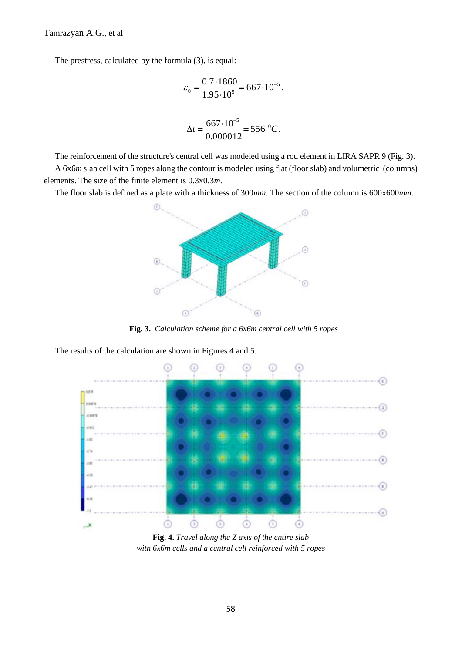Tamrazyan A.G., et al

The prestress, calculated by the formula (3), is equal:

$$
\varepsilon_0 = \frac{0.7 \cdot 1860}{1.95 \cdot 10^5} = 667 \cdot 10^{-5}.
$$

$$
\Delta t = \frac{667 \cdot 10^{-5}}{0.000012} = 556 \, \mathrm{°C}.
$$

The reinforcement of the structure's central cell was modeled using a rod element in LIRA SAPR 9 (Fig. 3). A 6x6*m* slab cell with 5 ropes along the contour is modeled using flat (floor slab) and volumetric (columns) elements. The size of the finite element is 0.3x0.3*m*.

The floor slab is defined as a plate with a thickness of 300*mm*. The section of the column is 600x600*mm*.



**Fig. 3.** *Calculation scheme for a 6x6m central cell with 5 ropes* 

The results of the calculation are shown in Figures 4 and 5.



**Fig. 4.** *Travel along the Z axis of the entire slab with 6x6m cells and a central cell reinforced with 5 ropes*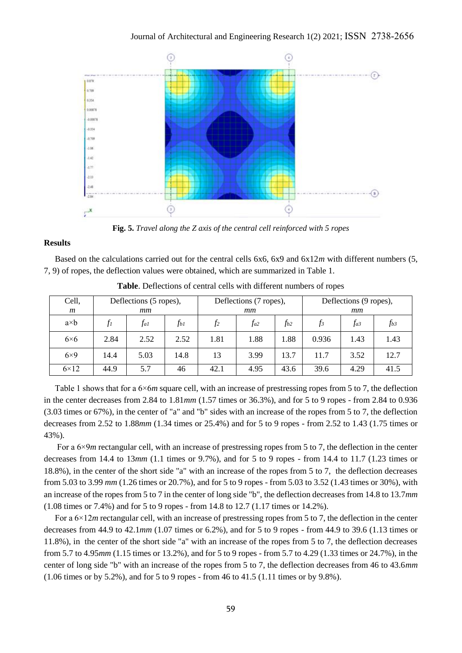

**Fig. 5.** *Travel along the Z axis of the central cell reinforced with 5 ropes*

### **Results**

Based on the calculations carried out for the central cells 6x6, 6x9 and 6x12*m* with different numbers (5, 7, 9) of ropes, the deflection values were obtained, which are summarized in Table 1.

| Cell,<br>m  | Deflections (5 ropes),<br>mm |          |      | Deflections (7 ropes),<br>mm |          |      | Deflections (9 ropes),<br>mm |          |          |
|-------------|------------------------------|----------|------|------------------------------|----------|------|------------------------------|----------|----------|
| $a\times b$ | J1                           | $f_{al}$ | ŤЫ   | f <sub>2</sub>               | $f_{a2}$ | fь2  | $\overline{f}$ 3             | $f_{a3}$ | $f_{b3}$ |
| $6\times6$  | 2.84                         | 2.52     | 2.52 | 1.81                         | 1.88     | 1.88 | 0.936                        | 1.43     | 1.43     |
| $6\times9$  | 14.4                         | 5.03     | 14.8 | 13                           | 3.99     | 13.7 | 11.7                         | 3.52     | 12.7     |
| $6\times12$ | 44.9                         | 5.7      | 46   | 42.1                         | 4.95     | 43.6 | 39.6                         | 4.29     | 41.5     |

**Table**. Deflections of central cells with different numbers of ropes

Table 1 shows that for a 6×6*m* square cell, with an increase of prestressing ropes from 5 to 7, the deflection in the center decreases from 2.84 to 1.81*mm* (1.57 times or 36.3%), and for 5 to 9 ropes - from 2.84 to 0.936 (3.03 times or 67%), in the center of "a" and "b" sides with an increase of the ropes from 5 to 7, the deflection decreases from 2.52 to 1.88*mm* (1.34 times or 25.4%) and for 5 to 9 ropes - from 2.52 to 1.43 (1.75 times or 43%).

For a  $6\times9m$  rectangular cell, with an increase of prestressing ropes from 5 to 7, the deflection in the center decreases from 14.4 to 13*mm* (1.1 times or 9.7%), and for 5 to 9 ropes - from 14.4 to 11.7 (1.23 times or 18.8%), in the center of the short side "a" with an increase of the ropes from 5 to 7, the deflection decreases from 5.03 to 3.99 *mm* (1.26 times or 20.7%), and for 5 to 9 ropes - from 5.03 to 3.52 (1.43 times or 30%), with an increase of the ropes from 5 to 7 in the center of long side "b", the deflection decreases from 14.8 to 13.7*mm* (1.08 times or 7.4%) and for 5 to 9 ropes - from 14.8 to 12.7 (1.17 times or 14.2%).

For a 6×12*m* rectangular cell, with an increase of prestressing ropes from 5 to 7, the deflection in the center decreases from 44.9 to 42.1*mm* (1.07 times or 6.2%), and for 5 to 9 ropes - from 44.9 to 39.6 (1.13 times or 11.8%), in the center of the short side "a" with an increase of the ropes from 5 to 7, the deflection decreases from 5.7 to 4.95*mm* (1.15 times or 13.2%), and for 5 to 9 ropes - from 5.7 to 4.29 (1.33 times or 24.7%), in the center of long side "b" with an increase of the ropes from 5 to 7, the deflection decreases from 46 to 43.6*mm* (1.06 times or by 5.2%), and for 5 to 9 ropes - from 46 to 41.5 (1.11 times or by 9.8%).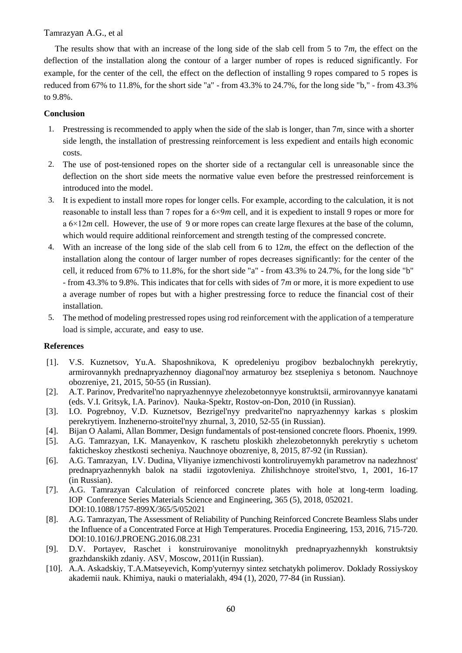## Tamrazyan A.G., et al

The results show that with an increase of the long side of the slab cell from 5 to 7*m*, the effect on the deflection of the installation along the contour of a larger number of ropes is reduced significantly. For example, for the center of the cell, the effect on the deflection of installing 9 ropes compared to 5 ropes is reduced from 67% to 11.8%, for the short side "a" - from 43.3% to 24.7%, for the long side "b," - from 43.3% to 9.8%.

# **Conclusion**

- 1. Prestressing is recommended to apply when the side of the slab is longer, than 7*m*, since with a shorter side length, the installation of prestressing reinforcement is less expedient and entails high economic costs.
- 2. The use of post-tensioned ropes on the shorter side of a rectangular cell is unreasonable since the deflection on the short side meets the normative value even before the prestressed reinforcement is introduced into the model.
- 3. It is expedient to install more ropes for longer cells. For example, according to the calculation, it is not reasonable to install less than 7 ropes for a 6×9*m* cell, and it is expedient to install 9 ropes or more for a 6×12*m* cell. However, the use of 9 or more ropes can create large flexures at the base of the column, which would require additional reinforcement and strength testing of the compressed concrete.
- 4. With an increase of the long side of the slab cell from 6 to 12*m*, the effect on the deflection of the installation along the contour of larger number of ropes decreases significantly: for the center of the cell, it reduced from 67% to 11.8%, for the short side "a" - from 43.3% to 24.7%, for the long side "b" - from 43.3% to 9.8%. This indicates that for cells with sides of 7*m* or more, it is more expedient to use a average number of ropes but with a higher prestressing force to reduce the financial cost of their installation.
- 5. The method of modeling prestressed ropes using rod reinforcement with the application of a temperature load is simple, accurate, and easy to use.

### **References**

- [1]. V.S. Kuznetsov, Yu.A. Shaposhnikova, K opredeleniyu progibov bezbalochnykh perekrytiy, armirovannykh prednapryazhennoy diagonal'noy armaturoy bez stsepleniya s betonom. Nauchnoye obozreniye, 21, 2015, 50-55 (in Russian).
- [2]. A.T. Parinov, Predvaritel'no napryazhennyye zhelezobetonnyye konstruktsii, armirovannyye kanatami (eds. V.I. Gritsyk, I.A. Parinov). Nauka-Spektr, Rostov-on-Don, 2010 (in Russian).
- [3]. I.O. Pogrebnoy, V.D. Kuznetsov, Bezrigel'nyy predvaritel'no napryazhennyy karkas s ploskim perekrytiyem. Inzhenerno-stroitel'nyy zhurnal, 3, 2010, 52-55 (in Russian).
- [4]. Bijan O Aalami, Allan Bommer, Design fundamentals of post-tensioned concrete floors. Phoenix, 1999.
- [5]. A.G. Tamrazyan, I.K. Manayenkov, K raschetu ploskikh zhelezobetonnykh perekrytiy s uchetom fakticheskoy zhestkosti secheniya. Nauchnoye obozreniye, 8, 2015, 87-92 (in Russian).
- [6]. A.G. Tamrazyan, I.V. Dudina, Vliyaniye izmenchivosti kontroliruyemykh parametrov na nadezhnost' prednapryazhennykh balok na stadii izgotovleniya. Zhilishchnoye stroitel'stvo, 1, 2001, 16-17 (in Russian).
- [7]. A.G. Tamrаzyan Сalculation of reinforced concrete plates with hole at long-term loading. [IOP Conference Series Materials Science and Engineering,](https://www.elibrary.ru/contents.asp?titleid=55201) 365 (5), 2018, 052021. DOI:10.1088/1757-899X/365/5/052021
- [8]. A.G. Tamrazyan, The Assessment of Reliability of Punching Reinforced Concrete Beamless Slabs under the Influence of a Concentrated Force at High Temperatures. Procedia Engineering, 153, 2016, 715-720. DOI:10.1016/J.PROENG.2016.08.231
- [9]. D.V. Portayev, Raschet i konstruirovaniye monolitnykh prednapryazhennykh konstruktsiy grazhdanskikh zdaniy. АSV, Moscow, 2011(in Russian).
- [10]. A.A. Askadskiy, T.A.Matseyevich, Komp'yuternyy sintez setchatykh polimerov. Doklady Rossiyskoy akademii nauk. Khimiya, nauki o materialakh, 494 (1), 2020, 77-84 (in Russian).